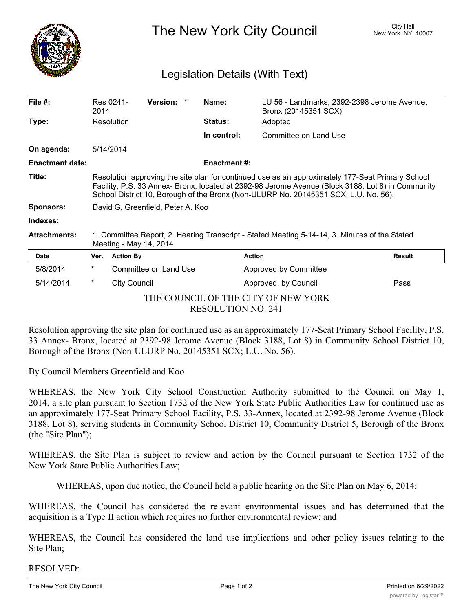

The New York City Council New York, NY 10007

## Legislation Details (With Text)

| File $#$ :                                                       | 2014                                                                                                                                                                                                                                                                                         | Res 0241-<br>Version: * | Name:               | LU 56 - Landmarks, 2392-2398 Jerome Avenue,<br>Bronx (20145351 SCX) |               |
|------------------------------------------------------------------|----------------------------------------------------------------------------------------------------------------------------------------------------------------------------------------------------------------------------------------------------------------------------------------------|-------------------------|---------------------|---------------------------------------------------------------------|---------------|
| Type:                                                            |                                                                                                                                                                                                                                                                                              | Resolution              | <b>Status:</b>      | Adopted                                                             |               |
|                                                                  |                                                                                                                                                                                                                                                                                              |                         | In control:         | Committee on Land Use                                               |               |
| On agenda:                                                       |                                                                                                                                                                                                                                                                                              | 5/14/2014               |                     |                                                                     |               |
| <b>Enactment date:</b>                                           |                                                                                                                                                                                                                                                                                              |                         | <b>Enactment #:</b> |                                                                     |               |
| Title:                                                           | Resolution approving the site plan for continued use as an approximately 177-Seat Primary School<br>Facility, P.S. 33 Annex- Bronx, located at 2392-98 Jerome Avenue (Block 3188, Lot 8) in Community<br>School District 10, Borough of the Bronx (Non-ULURP No. 20145351 SCX; L.U. No. 56). |                         |                     |                                                                     |               |
| <b>Sponsors:</b>                                                 | David G. Greenfield, Peter A. Koo                                                                                                                                                                                                                                                            |                         |                     |                                                                     |               |
| Indexes:                                                         |                                                                                                                                                                                                                                                                                              |                         |                     |                                                                     |               |
| <b>Attachments:</b>                                              | 1. Committee Report, 2. Hearing Transcript - Stated Meeting 5-14-14, 3. Minutes of the Stated<br>Meeting - May 14, 2014                                                                                                                                                                      |                         |                     |                                                                     |               |
| <b>Date</b>                                                      | Ver.                                                                                                                                                                                                                                                                                         | <b>Action By</b>        | <b>Action</b>       |                                                                     | <b>Result</b> |
| 5/8/2014                                                         | $^\star$                                                                                                                                                                                                                                                                                     | Committee on Land Use   |                     | Approved by Committee                                               |               |
| 5/14/2014                                                        | *                                                                                                                                                                                                                                                                                            | <b>City Council</b>     |                     | Approved, by Council                                                | Pass          |
| THE COUNCIL OF THE CITY OF NEW YORK<br><b>RESOLUTION NO. 241</b> |                                                                                                                                                                                                                                                                                              |                         |                     |                                                                     |               |

Resolution approving the site plan for continued use as an approximately 177-Seat Primary School Facility, P.S. 33 Annex- Bronx, located at 2392-98 Jerome Avenue (Block 3188, Lot 8) in Community School District 10, Borough of the Bronx (Non-ULURP No. 20145351 SCX; L.U. No. 56).

By Council Members Greenfield and Koo

WHEREAS, the New York City School Construction Authority submitted to the Council on May 1, 2014, a site plan pursuant to Section 1732 of the New York State Public Authorities Law for continued use as an approximately 177-Seat Primary School Facility, P.S. 33-Annex, located at 2392-98 Jerome Avenue (Block 3188, Lot 8), serving students in Community School District 10, Community District 5, Borough of the Bronx (the "Site Plan");

WHEREAS, the Site Plan is subject to review and action by the Council pursuant to Section 1732 of the New York State Public Authorities Law;

WHEREAS, upon due notice, the Council held a public hearing on the Site Plan on May 6, 2014;

WHEREAS, the Council has considered the relevant environmental issues and has determined that the acquisition is a Type II action which requires no further environmental review; and

WHEREAS, the Council has considered the land use implications and other policy issues relating to the Site Plan;

RESOLVED: